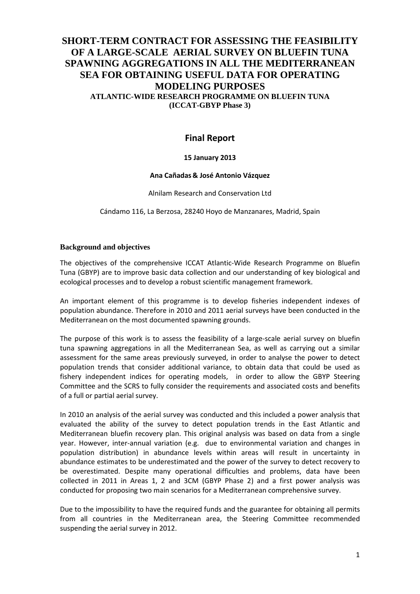# **SHORT-TERM CONTRACT FOR ASSESSING THE FEASIBILITY OF A LARGE-SCALE AERIAL SURVEY ON BLUEFIN TUNA SPAWNING AGGREGATIONS IN ALL THE MEDITERRANEAN SEA FOR OBTAINING USEFUL DATA FOR OPERATING MODELING PURPOSES ATLANTIC-WIDE RESEARCH PROGRAMME ON BLUEFIN TUNA (ICCAT-GBYP Phase 3)**

# **Final Report**

## **15 January 2013**

### **Ana Cañadas & José Antonio Vázquez**

Alnilam Research and Conservation Ltd

Cándamo 116, La Berzosa, 28240 Hoyo de Manzanares, Madrid, Spain

### **Background and objectives**

The objectives of the comprehensive ICCAT Atlantic-Wide Research Programme on Bluefin Tuna (GBYP) are to improve basic data collection and our understanding of key biological and ecological processes and to develop a robust scientific management framework.

An important element of this programme is to develop fisheries independent indexes of population abundance. Therefore in 2010 and 2011 aerial surveys have been conducted in the Mediterranean on the most documented spawning grounds.

The purpose of this work is to assess the feasibility of a large-scale aerial survey on bluefin tuna spawning aggregations in all the Mediterranean Sea, as well as carrying out a similar assessment for the same areas previously surveyed, in order to analyse the power to detect population trends that consider additional variance, to obtain data that could be used as fishery independent indices for operating models, in order to allow the GBYP Steering Committee and the SCRS to fully consider the requirements and associated costs and benefits of a full or partial aerial survey.

In 2010 an analysis of the aerial survey was conducted and this included a power analysis that evaluated the ability of the survey to detect population trends in the East Atlantic and Mediterranean bluefin recovery plan. This original analysis was based on data from a single year. However, inter-annual variation (e.g. due to environmental variation and changes in population distribution) in abundance levels within areas will result in uncertainty in abundance estimates to be underestimated and the power of the survey to detect recovery to be overestimated. Despite many operational difficulties and problems, data have been collected in 2011 in Areas 1, 2 and 3CM (GBYP Phase 2) and a first power analysis was conducted for proposing two main scenarios for a Mediterranean comprehensive survey.

Due to the impossibility to have the required funds and the guarantee for obtaining all permits from all countries in the Mediterranean area, the Steering Committee recommended suspending the aerial survey in 2012.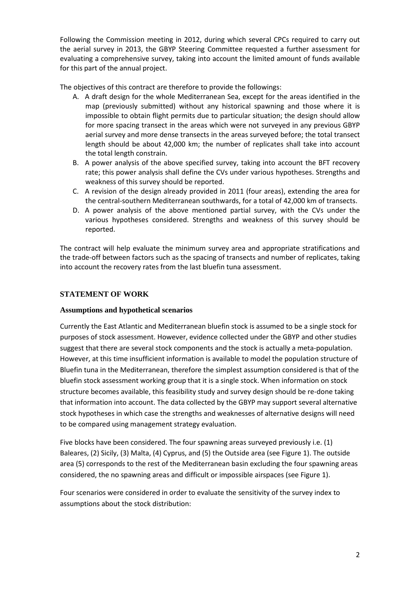Following the Commission meeting in 2012, during which several CPCs required to carry out the aerial survey in 2013, the GBYP Steering Committee requested a further assessment for evaluating a comprehensive survey, taking into account the limited amount of funds available for this part of the annual project.

The objectives of this contract are therefore to provide the followings:

- A. A draft design for the whole Mediterranean Sea, except for the areas identified in the map (previously submitted) without any historical spawning and those where it is impossible to obtain flight permits due to particular situation; the design should allow for more spacing transect in the areas which were not surveyed in any previous GBYP aerial survey and more dense transects in the areas surveyed before; the total transect length should be about 42,000 km; the number of replicates shall take into account the total length constrain.
- B. A power analysis of the above specified survey, taking into account the BFT recovery rate; this power analysis shall define the CVs under various hypotheses. Strengths and weakness of this survey should be reported.
- C. A revision of the design already provided in 2011 (four areas), extending the area for the central-southern Mediterranean southwards, for a total of 42,000 km of transects.
- D. A power analysis of the above mentioned partial survey, with the CVs under the various hypotheses considered. Strengths and weakness of this survey should be reported.

The contract will help evaluate the minimum survey area and appropriate stratifications and the trade-off between factors such as the spacing of transects and number of replicates, taking into account the recovery rates from the last bluefin tuna assessment.

## **STATEMENT OF WORK**

## **Assumptions and hypothetical scenarios**

Currently the East Atlantic and Mediterranean bluefin stock is assumed to be a single stock for purposes of stock assessment. However, evidence collected under the GBYP and other studies suggest that there are several stock components and the stock is actually a meta-population. However, at this time insufficient information is available to model the population structure of Bluefin tuna in the Mediterranean, therefore the simplest assumption considered is that of the bluefin stock assessment working group that it is a single stock. When information on stock structure becomes available, this feasibility study and survey design should be re-done taking that information into account. The data collected by the GBYP may support several alternative stock hypotheses in which case the strengths and weaknesses of alternative designs will need to be compared using management strategy evaluation.

Five blocks have been considered. The four spawning areas surveyed previously i.e. (1) Baleares, (2) Sicily, (3) Malta, (4) Cyprus, and (5) the Outside area (see Figure 1). The outside area (5) corresponds to the rest of the Mediterranean basin excluding the four spawning areas considered, the no spawning areas and difficult or impossible airspaces (see Figure 1).

Four scenarios were considered in order to evaluate the sensitivity of the survey index to assumptions about the stock distribution: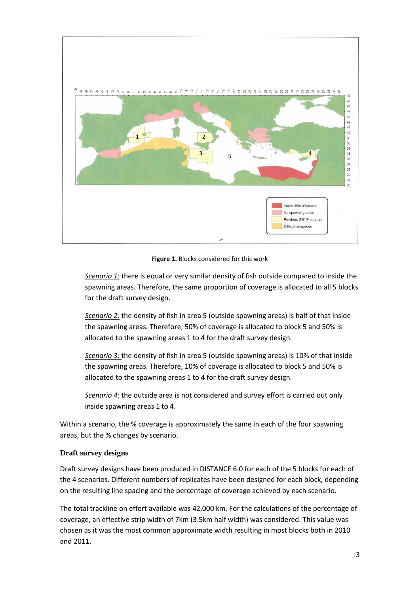

**Figure 1.** Blocks considered for this work

*Scenario 1:* there is equal or very similar density of fish outside compared to inside the spawning areas. Therefore, the same proportion of coverage is allocated to all 5 blocks for the draft survey design.

*Scenario 2:* the density of fish in area 5 (outside spawning areas) is half of that inside the spawning areas. Therefore, 50% of coverage is allocated to block 5 and 50% is allocated to the spawning areas 1 to 4 for the draft survey design.

*Scenario 3:* the density of fish in area 5 (outside spawning areas) is 10% of that inside the spawning areas. Therefore, 10% of coverage is allocated to block 5 and 50% is allocated to the spawning areas 1 to 4 for the draft survey design.

*Scenario 4:* the outside area is not considered and survey effort is carried out only inside spawning areas 1 to 4.

Within a scenario, the % coverage is approximately the same in each of the four spawning areas, but the % changes by scenario.

### **Draft survey designs**

Draft survey designs have been produced in DISTANCE 6.0 for each of the 5 blocks for each of the 4 scenarios. Different numbers of replicates have been designed for each block, depending on the resulting line spacing and the percentage of coverage achieved by each scenario.

The total trackline on effort available was 42,000 km. For the calculations of the percentage of coverage, an effective strip width of 7km (3.5km half width) was considered. This value was chosen as it was the most common approximate width resulting in most blocks both in 2010 and 2011.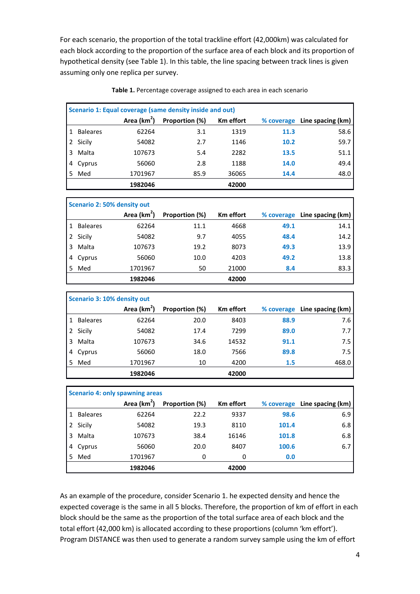For each scenario, the proportion of the total trackline effort (42,000km) was calculated for each block according to the proportion of the surface area of each block and its proportion of hypothetical density (see Table 1). In this table, the line spacing between track lines is given assuming only one replica per survey.

|   | Scenario 1: Equal coverage (same density inside and out) |                         |                |                  |      |                              |  |  |  |  |  |
|---|----------------------------------------------------------|-------------------------|----------------|------------------|------|------------------------------|--|--|--|--|--|
|   |                                                          | Area (km <sup>2</sup> ) | Proportion (%) | <b>Km</b> effort |      | % coverage Line spacing (km) |  |  |  |  |  |
|   | <b>Baleares</b>                                          | 62264                   | 3.1            | 1319             | 11.3 | 58.6                         |  |  |  |  |  |
| 2 | Sicily                                                   | 54082                   | 2.7            | 1146             | 10.2 | 59.7                         |  |  |  |  |  |
| 3 | Malta                                                    | 107673                  | 5.4            | 2282             | 13.5 | 51.1                         |  |  |  |  |  |
| 4 | Cyprus                                                   | 56060                   | 2.8            | 1188             | 14.0 | 49.4                         |  |  |  |  |  |
| 5 | Med                                                      | 1701967                 | 85.9           | 36065            | 14.4 | 48.0                         |  |  |  |  |  |
|   |                                                          | 1982046                 |                | 42000            |      |                              |  |  |  |  |  |

**Table 1.** Percentage coverage assigned to each area in each scenario

|   | Scenario 2: 50% density out |                         |                |                  |      |                              |  |  |  |  |
|---|-----------------------------|-------------------------|----------------|------------------|------|------------------------------|--|--|--|--|
|   |                             | Area (km <sup>2</sup> ) | Proportion (%) | <b>Km</b> effort |      | % coverage Line spacing (km) |  |  |  |  |
|   | <b>Baleares</b>             | 62264                   | 11.1           | 4668             | 49.1 | 14.1                         |  |  |  |  |
| 2 | Sicily                      | 54082                   | 9.7            | 4055             | 48.4 | 14.2                         |  |  |  |  |
| 3 | Malta                       | 107673                  | 19.2           | 8073             | 49.3 | 13.9                         |  |  |  |  |
| 4 | Cyprus                      | 56060                   | 10.0           | 4203             | 49.2 | 13.8                         |  |  |  |  |
|   | Med                         | 1701967                 | 50             | 21000            | 8.4  | 83.3                         |  |  |  |  |
|   |                             | 1982046                 |                | 42000            |      |                              |  |  |  |  |

|    | Scenario 3: 10% density out |                         |                |                  |            |                   |  |  |  |  |
|----|-----------------------------|-------------------------|----------------|------------------|------------|-------------------|--|--|--|--|
|    |                             | Area (km <sup>2</sup> ) | Proportion (%) | <b>Km</b> effort | % coverage | Line spacing (km) |  |  |  |  |
|    | <b>Baleares</b>             | 62264                   | 20.0           | 8403             | 88.9       | 7.6               |  |  |  |  |
| 2  | Sicily                      | 54082                   | 17.4           | 7299             | 89.0       | 7.7               |  |  |  |  |
| 3  | Malta                       | 107673                  | 34.6           | 14532            | 91.1       | 7.5               |  |  |  |  |
|    | Cyprus                      | 56060                   | 18.0           | 7566             | 89.8       | 7.5               |  |  |  |  |
| 5. | Med                         | 1701967                 | 10             | 4200             | 1.5        | 468.0             |  |  |  |  |
|    |                             | 1982046                 |                | 42000            |            |                   |  |  |  |  |

|    | <b>Scenario 4: only spawning areas</b> |                         |                |                  |            |                   |  |  |  |  |
|----|----------------------------------------|-------------------------|----------------|------------------|------------|-------------------|--|--|--|--|
|    |                                        | Area (km <sup>2</sup> ) | Proportion (%) | <b>Km</b> effort | % coverage | Line spacing (km) |  |  |  |  |
|    | <b>Baleares</b>                        | 62264                   | 22.2           | 9337             | 98.6       | 6.9               |  |  |  |  |
|    | 2 Sicily                               | 54082                   | 19.3           | 8110             | 101.4      | 6.8               |  |  |  |  |
| 3  | Malta                                  | 107673                  | 38.4           | 16146            | 101.8      | 6.8               |  |  |  |  |
| 4  | Cyprus                                 | 56060                   | 20.0           | 8407             | 100.6      | 6.7               |  |  |  |  |
| 5. | Med                                    | 1701967                 | 0              | 0                | 0.0        |                   |  |  |  |  |
|    |                                        | 1982046                 |                | 42000            |            |                   |  |  |  |  |

As an example of the procedure, consider Scenario 1. he expected density and hence the expected coverage is the same in all 5 blocks. Therefore, the proportion of km of effort in each block should be the same as the proportion of the total surface area of each block and the total effort (42,000 km) is allocated according to these proportions (column 'km effort'). Program DISTANCE was then used to generate a random survey sample using the km of effort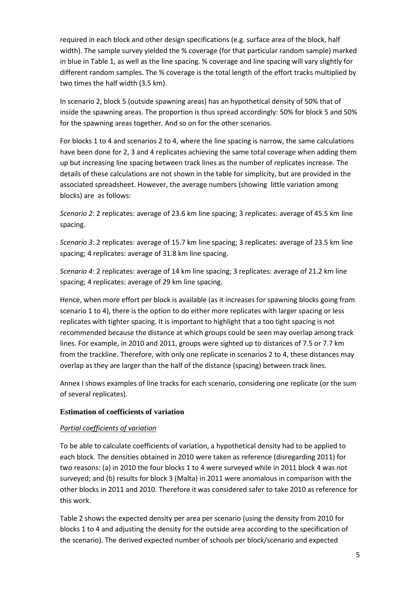required in each block and other design specifications (e.g. surface area of the block, half width). The sample survey yielded the % coverage (for that particular random sample) marked in blue in Table 1, as well as the line spacing. % coverage and line spacing will vary slightly for different random samples. The % coverage is the total length of the effort tracks multiplied by two times the half width (3.5 km).

In scenario 2, block 5 (outside spawning areas) has an hypothetical density of 50% that of inside the spawning areas. The proportion is thus spread accordingly: 50% for block 5 and 50% for the spawning areas together. And so on for the other scenarios.

For blocks 1 to 4 and scenarios 2 to 4, where the line spacing is narrow, the same calculations have been done for 2, 3 and 4 replicates achieving the same total coverage when adding them up but increasing line spacing between track lines as the number of replicates increase. The details of these calculations are not shown in the table for simplicity, but are provided in the associated spreadsheet. However, the average numbers (showing little variation among blocks) are as follows:

*Scenario 2*: 2 replicates: average of 23.6 km line spacing; 3 replicates: average of 45.5 km line spacing.

*Scenario 3*: 2 replicates: average of 15.7 km line spacing; 3 replicates: average of 23.5 km line spacing; 4 replicates: average of 31.8 km line spacing.

*Scenario 4*: 2 replicates: average of 14 km line spacing; 3 replicates: average of 21.2 km line spacing; 4 replicates: average of 29 km line spacing.

Hence, when more effort per block is available (as it increases for spawning blocks going from scenario 1 to 4), there is the option to do either more replicates with larger spacing or less replicates with tighter spacing. It is important to highlight that a too tight spacing is not recommended because the distance at which groups could be seen may overlap among track lines. For example, in 2010 and 2011, groups were sighted up to distances of 7.5 or 7.7 km from the trackline. Therefore, with only one replicate in scenarios 2 to 4, these distances may overlap as they are larger than the half of the distance (spacing) between track lines.

Annex I shows examples of line tracks for each scenario, considering one replicate (or the sum of several replicates).

## **Estimation of coefficients of variation**

## *Partial coefficients of variation*

To be able to calculate coefficients of variation, a hypothetical density had to be applied to each block. The densities obtained in 2010 were taken as reference (disregarding 2011) for two reasons: (a) in 2010 the four blocks 1 to 4 were surveyed while in 2011 block 4 was not surveyed; and (b) results for block 3 (Malta) in 2011 were anomalous in comparison with the other blocks in 2011 and 2010. Therefore it was considered safer to take 2010 as reference for this work.

Table 2 shows the expected density per area per scenario (using the density from 2010 for blocks 1 to 4 and adjusting the density for the outside area according to the specification of the scenario). The derived expected number of schools per block/scenario and expected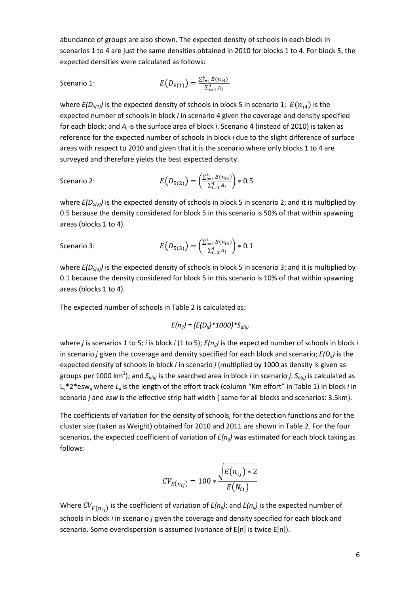abundance of groups are also shown. The expected density of schools in each block in scenarios 1 to 4 are just the same densities obtained in 2010 for blocks 1 to 4. For block 5, the expected densities were calculated as follows:

Scenario 1: 
$$
E(D_{5(1)}) = \frac{\sum_{i=1}^{4} E(n_{i4})}{\sum_{i=1}^{4} A_i}
$$

where  $E(D_{5(1)})$  is the expected density of schools in block 5 in scenario 1;  $E(n_{i4})$  is the expected number of schools in block *i* in scenario 4 given the coverage and density specified for each block; and *Ai* is the surface area of block *i*. Scenario 4 (instead of 2010) is taken as reference for the expected number of schools in block *i* due to the slight difference of surface areas with respect to 2010 and given that it is the scenario where only blocks 1 to 4 are surveyed and therefore yields the best expected density.

Scenario 2: 
$$
E(D_{5(2)}) = \left(\frac{\sum_{i=1}^{4} E(n_{i4})}{\sum_{i=1}^{4} A_i}\right) * 0.5
$$

where  $E(D_{5(2)})$  is the expected density of schools in block 5 in scenario 2; and it is multiplied by 0.5 because the density considered for block 5 in this scenario is 50% of that within spawning areas (blocks 1 to 4).

Scenario 3: 
$$
E(D_{5(3)}) = \left(\frac{\sum_{i=1}^{4} E(n_{i4})}{\sum_{i=1}^{4} A_i}\right) * 0.1
$$

where  $E(D_{5(3)})$  is the expected density of schools in block 5 in scenario 3; and it is multiplied by 0.1 because the density considered for block 5 in this scenario is 10% of that within spawning areas (blocks 1 to 4).

The expected number of schools in Table 2 is calculated as:

$$
E(n_{ij}) = (E(D_{ij})^*1000)^*S_{a(ij)}
$$

where *j* is scenarios 1 to 5; *i* is block *i* (1 to 5); *E(nij)* is the expected number of schools in block *i* in scenario *j* given the coverage and density specified for each block and scenario; *E(Dij)* is the expected density of schools in block *i* in scenario *j* (multiplied by 1000 as density is given as groups per 1000 km<sup>2</sup> ); and *Sa(ij)* is the searched area in block *i* in scenario *j*. *Sa(ij)* is calculated as Lij\*2\*eswij where *Lij* is the length of the effort track (column "Km effort" in Table 1) in block *i* in scenario *j* and *esw* is the effective strip half width ( same for all blocks and scenarios: 3.5km).

The coefficients of variation for the density of schools, for the detection functions and for the cluster size (taken as Weight) obtained for 2010 and 2011 are shown in Table 2. For the four scenarios, the expected coefficient of variation of  $E(n_{ii})$  was estimated for each block taking as follows:

$$
CV_{E(n_{ij})} = 100 * \frac{\sqrt{E(n_{ij}) * 2}}{E(N_{ij})}
$$

Where  $CV_{E(n_{ij})}$  is the coefficient of variation of  $E(n_{ij})$ ; and  $E(n_{ij})$  is the expected number of schools in block *i* in scenario *j* given the coverage and density specified for each block and scenario. Some overdispersion is assumed (variance of E[n] is twice E[n]).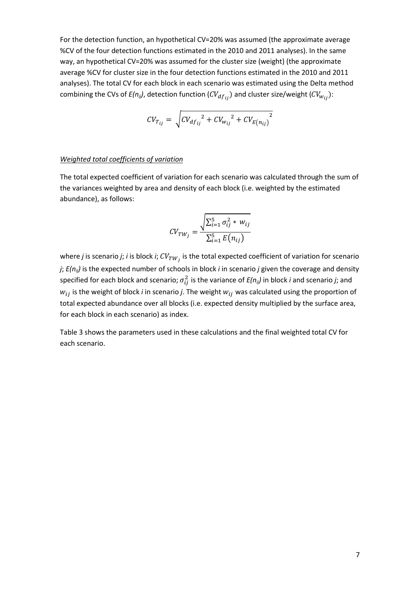For the detection function, an hypothetical CV=20% was assumed (the approximate average %CV of the four detection functions estimated in the 2010 and 2011 analyses). In the same way, an hypothetical CV=20% was assumed for the cluster size (weight) (the approximate average %CV for cluster size in the four detection functions estimated in the 2010 and 2011 analyses). The total CV for each block in each scenario was estimated using the Delta method combining the CVs of  $E(n_{ij})$ , detection function  $(CV_{df_{ij}})$  and cluster size/weight  $(CV_{W_{ij}})$ :

$$
CV_{T_{ij}} = \sqrt{CV_{df_{ij}}^{2} + CV_{w_{ij}}^{2} + CV_{E(n_{ij})}^{2}}
$$

#### *Weighted total coefficients of variation*

The total expected coefficient of variation for each scenario was calculated through the sum of the variances weighted by area and density of each block (i.e. weighted by the estimated abundance), as follows:

$$
CV_{TW_j} = \frac{\sqrt{\sum_{i=1}^{5} \sigma_{ij}^{2} * w_{ij}}}{\sum_{i=1}^{5} E(n_{ij})}
$$

where *j* is scenario *j*; *i* is block *i*;  $CV_{TW_j}$  is the total expected coefficient of variation for scenario *j*; *E(nij)* is the expected number of schools in block *i* in scenario *j* given the coverage and density specified for each block and scenario;  $\sigma_{ij}^2$  is the variance of  $E(n_{ij})$  in block *i* and scenario *j*; and  $w_{ij}$  is the weight of block *i* in scenario *j*. The weight  $w_{ij}$  was calculated using the proportion of total expected abundance over all blocks (i.e. expected density multiplied by the surface area, for each block in each scenario) as index.

Table 3 shows the parameters used in these calculations and the final weighted total CV for each scenario.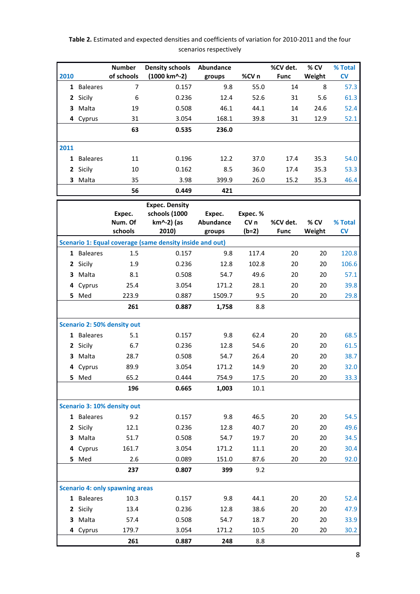|              |                 | <b>Number</b>                          | <b>Density schools</b>                                        | Abundance                     |                                        | %CV det.                | % CV           | % Total       |
|--------------|-----------------|----------------------------------------|---------------------------------------------------------------|-------------------------------|----------------------------------------|-------------------------|----------------|---------------|
| 2010         |                 | of schools                             | (1000 km^-2)                                                  | groups                        | %CV n                                  | <b>Func</b>             | Weight         | <b>CV</b>     |
|              | 1 Baleares      | 7                                      | 0.157                                                         | 9.8                           | 55.0                                   | 14                      | 8              | 57.3          |
| $\mathbf{2}$ | Sicily          | 6                                      | 0.236                                                         | 12.4                          | 52.6                                   | 31                      | 5.6            | 61.3          |
| 3            | Malta           | 19                                     | 0.508                                                         | 46.1                          | 44.1                                   | 14                      | 24.6           | 52.4          |
| 4            | Cyprus          | 31                                     | 3.054                                                         | 168.1                         | 39.8                                   | 31                      | 12.9           | 52.1          |
|              |                 | 63                                     | 0.535                                                         | 236.0                         |                                        |                         |                |               |
| 2011         |                 |                                        |                                                               |                               |                                        |                         |                |               |
| 1            | <b>Baleares</b> | 11                                     | 0.196                                                         | 12.2                          | 37.0                                   | 17.4                    | 35.3           | 54.0          |
| $\mathbf{2}$ | Sicily          | 10                                     | 0.162                                                         | 8.5                           | 36.0                                   | 17.4                    | 35.3           | 53.3          |
| 3            | Malta           | 35                                     | 3.98                                                          | 399.9                         | 26.0                                   | 15.2                    | 35.3           | 46.4          |
|              |                 | 56                                     | 0.449                                                         | 421                           |                                        |                         |                |               |
|              |                 | Expec.<br>Num. Of<br>schools           | <b>Expec. Density</b><br>schools (1000<br>km^-2) (as<br>2010) | Expec.<br>Abundance<br>groups | Expec. %<br>CV <sub>n</sub><br>$(b=2)$ | %CV det.<br><b>Func</b> | % CV<br>Weight | % Total<br>CV |
|              |                 |                                        | Scenario 1: Equal coverage (same density inside and out)      |                               |                                        |                         |                |               |
|              | 1 Baleares      | 1.5                                    | 0.157                                                         | 9.8                           | 117.4                                  | 20                      | 20             | 120.8         |
| $\mathbf{2}$ | Sicily          | 1.9                                    | 0.236                                                         | 12.8                          | 102.8                                  | 20                      | 20             | 106.6         |
| 3            | Malta           | 8.1                                    | 0.508                                                         | 54.7                          | 49.6                                   | 20                      | 20             | 57.1          |
| 4            | Cyprus          | 25.4                                   | 3.054                                                         | 171.2                         | 28.1                                   | 20                      | 20             | 39.8          |
| 5            | Med             | 223.9                                  | 0.887                                                         | 1509.7                        | 9.5                                    | 20                      | 20             | 29.8          |
|              |                 | 261                                    | 0.887                                                         | 1,758                         | 8.8                                    |                         |                |               |
|              |                 | <b>Scenario 2: 50% density out</b>     |                                                               |                               |                                        |                         |                |               |
|              | 1 Baleares      | 5.1                                    | 0.157                                                         | 9.8                           | 62.4                                   | 20                      | 20             | 68.5          |
| 2            | Sicily          | 6.7                                    | 0.236                                                         | 12.8                          | 54.6                                   | 20                      | 20             | 61.5          |
| 3            | Malta           | 28.7                                   | 0.508                                                         | 54.7                          | 26.4                                   | 20                      | 20             | 38.7          |
| 4            | Cyprus          | 89.9                                   | 3.054                                                         | 171.2                         | 14.9                                   | 20                      | 20             | 32.0          |
|              | 5 Med           | 65.2                                   | 0.444                                                         | 754.9                         | 17.5                                   | 20                      | 20             | 33.3          |
|              |                 | 196                                    | 0.665                                                         | 1,003                         | 10.1                                   |                         |                |               |
|              |                 | Scenario 3: 10% density out            |                                                               |                               |                                        |                         |                |               |
|              | 1 Baleares      | 9.2                                    | 0.157                                                         | 9.8                           | 46.5                                   | 20                      | 20             | 54.5          |
| 2            | Sicily          | 12.1                                   | 0.236                                                         | 12.8                          | 40.7                                   | 20                      | 20             | 49.6          |
| 3            | Malta           | 51.7                                   | 0.508                                                         | 54.7                          | 19.7                                   | 20                      | 20             | 34.5          |
| 4            | Cyprus          | 161.7                                  | 3.054                                                         | 171.2                         | 11.1                                   | 20                      | 20             | 30.4          |
| 5            | Med             | 2.6                                    | 0.089                                                         | 151.0                         | 87.6                                   | 20                      | 20             | 92.0          |
|              |                 | 237                                    | 0.807                                                         | 399                           | 9.2                                    |                         |                |               |
|              |                 | <b>Scenario 4: only spawning areas</b> |                                                               |                               |                                        |                         |                |               |
|              | 1 Baleares      | 10.3                                   | 0.157                                                         | 9.8                           | 44.1                                   | 20                      | 20             | 52.4          |
| 2            | Sicily          | 13.4                                   | 0.236                                                         | 12.8                          | 38.6                                   | 20                      | 20             | 47.9          |
| 3.           | Malta           | 57.4                                   | 0.508                                                         | 54.7                          | 18.7                                   | 20                      | 20             | 33.9          |
|              | 4 Cyprus        | 179.7                                  | 3.054                                                         | 171.2                         | 10.5                                   | 20                      | 20             | 30.2          |
|              |                 | 261                                    | 0.887                                                         | 248                           | 8.8                                    |                         |                |               |

## **Table 2.** Estimated and expected densities and coefficients of variation for 2010-2011 and the four scenarios respectively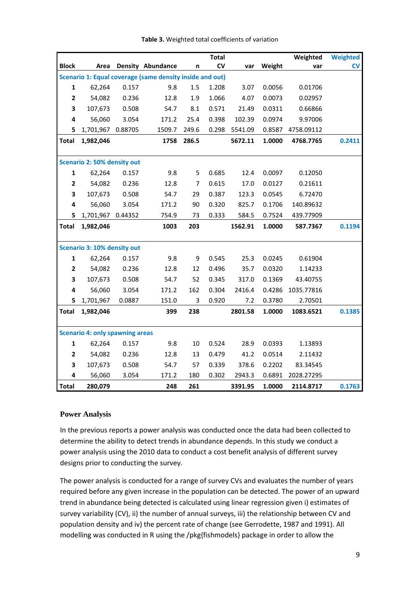|              |                                    |         |                                                          |       | <b>Total</b> |         |        | Weighted   | <b>Weighted</b> |
|--------------|------------------------------------|---------|----------------------------------------------------------|-------|--------------|---------|--------|------------|-----------------|
| <b>Block</b> | Area                               |         | <b>Density Abundance</b>                                 | n     | CV           | var     | Weight | var        | <b>CV</b>       |
|              |                                    |         | Scenario 1: Equal coverage (same density inside and out) |       |              |         |        |            |                 |
| $\mathbf{1}$ | 62,264                             | 0.157   | 9.8                                                      | 1.5   | 1.208        | 3.07    | 0.0056 | 0.01706    |                 |
| $\mathbf{2}$ | 54,082                             | 0.236   | 12.8                                                     | 1.9   | 1.066        | 4.07    | 0.0073 | 0.02957    |                 |
| 3            | 107,673                            | 0.508   | 54.7                                                     | 8.1   | 0.571        | 21.49   | 0.0311 | 0.66866    |                 |
| 4            | 56,060                             | 3.054   | 171.2                                                    | 25.4  | 0.398        | 102.39  | 0.0974 | 9.97006    |                 |
| 5            | 1,701,967                          | 0.88705 | 1509.7                                                   | 249.6 | 0.298        | 5541.09 | 0.8587 | 4758.09112 |                 |
| Total        | 1,982,046                          |         | 1758                                                     | 286.5 |              | 5672.11 | 1.0000 | 4768.7765  | 0.2411          |
|              |                                    |         |                                                          |       |              |         |        |            |                 |
|              | <b>Scenario 2: 50% density out</b> |         |                                                          |       |              |         |        |            |                 |
| $\mathbf{1}$ | 62,264                             | 0.157   | 9.8                                                      | 5     | 0.685        | 12.4    | 0.0097 | 0.12050    |                 |
| $\mathbf{2}$ | 54,082                             | 0.236   | 12.8                                                     | 7     | 0.615        | 17.0    | 0.0127 | 0.21611    |                 |
| 3            | 107,673                            | 0.508   | 54.7                                                     | 29    | 0.387        | 123.3   | 0.0545 | 6.72470    |                 |
| 4            | 56,060                             | 3.054   | 171.2                                                    | 90    | 0.320        | 825.7   | 0.1706 | 140.89632  |                 |
| 5            | 1,701,967                          | 0.44352 | 754.9                                                    | 73    | 0.333        | 584.5   | 0.7524 | 439.77909  |                 |
| Total        | 1,982,046                          |         | 1003                                                     | 203   |              | 1562.91 | 1.0000 | 587.7367   | 0.1194          |
|              |                                    |         |                                                          |       |              |         |        |            |                 |
|              | <b>Scenario 3: 10% density out</b> |         |                                                          |       |              |         |        |            |                 |
| $\mathbf{1}$ | 62,264                             | 0.157   | 9.8                                                      | 9     | 0.545        | 25.3    | 0.0245 | 0.61904    |                 |
| $\mathbf{2}$ | 54,082                             | 0.236   | 12.8                                                     | 12    | 0.496        | 35.7    | 0.0320 | 1.14233    |                 |
| 3            | 107,673                            | 0.508   | 54.7                                                     | 52    | 0.345        | 317.0   | 0.1369 | 43.40755   |                 |
| 4            | 56,060                             | 3.054   | 171.2                                                    | 162   | 0.304        | 2416.4  | 0.4286 | 1035.77816 |                 |
| 5            | 1,701,967                          | 0.0887  | 151.0                                                    | 3     | 0.920        | 7.2     | 0.3780 | 2.70501    |                 |
| Total        | 1,982,046                          |         | 399                                                      | 238   |              | 2801.58 | 1.0000 | 1083.6521  | 0.1385          |
|              |                                    |         |                                                          |       |              |         |        |            |                 |

**Table 3.** Weighted total coefficients of variation

### **Power Analysis**

**Scenario 4: only spawning areas**

In the previous reports a power analysis was conducted once the data had been collected to determine the ability to detect trends in abundance depends. In this study we conduct a power analysis using the 2010 data to conduct a cost benefit analysis of different survey designs prior to conducting the survey.

**Total 280,079 248 261 3391.95 1.0000 2114.8717 0.1763**

 62,264 0.157 9.8 10 0.524 28.9 0.0393 1.13893 54,082 0.236 12.8 13 0.479 41.2 0.0514 2.11432 107,673 0.508 54.7 57 0.339 378.6 0.2202 83.34545 56,060 3.054 171.2 180 0.302 2943.3 0.6891 2028.27295

The power analysis is conducted for a range of survey CVs and evaluates the number of years required before any given increase in the population can be detected. The power of an upward trend in abundance being detected is calculated using linear regression given i) estimates of survey variability (CV), ii) the number of annual surveys, iii) the relationship between CV and population density and iv) the percent rate of change (see Gerrodette, 1987 and 1991). All modelling was conducted in R using the /pkg{fishmodels} package in order to allow the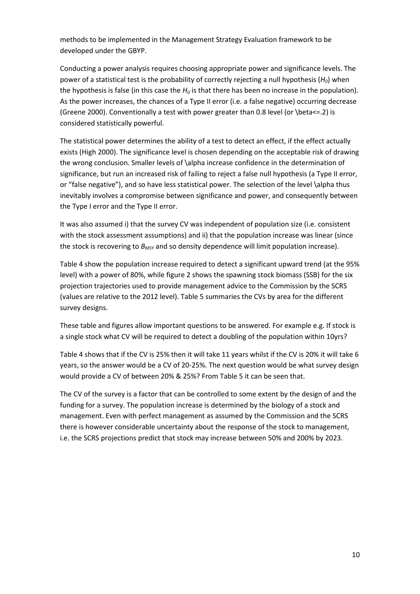methods to be implemented in the Management Strategy Evaluation framework to be developed under the GBYP.

Conducting a power analysis requires choosing appropriate power and significance levels. The power of a statistical test is the probability of correctly rejecting a null hypothesis (*H0*) when the hypothesis is false (in this case the  $H_0$  is that there has been no increase in the population). As the power increases, the chances of a Type II error (i.e. a false negative) occurring decrease (Greene 2000). Conventionally a test with power greater than 0.8 level (or \beta<=.2) is considered statistically powerful.

The statistical power determines the ability of a test to detect an effect, if the effect actually exists (High 2000). The significance level is chosen depending on the acceptable risk of drawing the wrong conclusion. Smaller levels of \alpha increase confidence in the determination of significance, but run an increased risk of failing to reject a false null hypothesis (a Type II error, or "false negative"), and so have less statistical power. The selection of the level \alpha thus inevitably involves a compromise between significance and power, and consequently between the Type I error and the Type II error.

It was also assumed i) that the survey CV was independent of population size (i.e. consistent with the stock assessment assumptions) and ii) that the population increase was linear (since the stock is recovering to  $B_{MSY}$  and so density dependence will limit population increase).

Table 4 show the population increase required to detect a significant upward trend (at the 95% level) with a power of 80%, while figure 2 shows the spawning stock biomass (SSB) for the six projection trajectories used to provide management advice to the Commission by the SCRS (values are relative to the 2012 level). Table 5 summaries the CVs by area for the different survey designs.

These table and figures allow important questions to be answered. For example e.g. If stock is a single stock what CV will be required to detect a doubling of the population within 10yrs?

Table 4 shows that if the CV is 25% then it will take 11 years whilst if the CV is 20% it will take 6 years, so the answer would be a CV of 20-25%. The next question would be what survey design would provide a CV of between 20% & 25%? From Table 5 it can be seen that.

The CV of the survey is a factor that can be controlled to some extent by the design of and the funding for a survey. The population increase is determined by the biology of a stock and management. Even with perfect management as assumed by the Commission and the SCRS there is however considerable uncertainty about the response of the stock to management, i.e. the SCRS projections predict that stock may increase between 50% and 200% by 2023.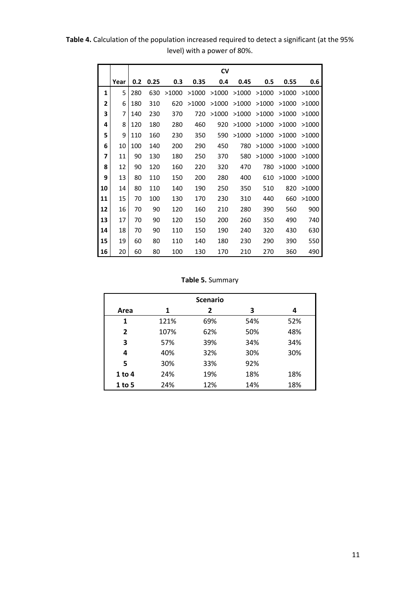**Table 4.** Calculation of the population increased required to detect a significant (at the 95% level) with a power of 80%.

|                |      |     |      |       |       | <b>CV</b> |       |       |       |       |
|----------------|------|-----|------|-------|-------|-----------|-------|-------|-------|-------|
|                | Year | 0.2 | 0.25 | 0.3   | 0.35  | 0.4       | 0.45  | 0.5   | 0.55  | 0.6   |
| $\mathbf{1}$   | 5    | 280 | 630  | >1000 | >1000 | >1000     | >1000 | >1000 | >1000 | >1000 |
| $\overline{2}$ | 6    | 180 | 310  | 620   | >1000 | >1000     | >1000 | >1000 | >1000 | >1000 |
| 3              | 7    | 140 | 230  | 370   | 720   | >1000     | >1000 | >1000 | >1000 | >1000 |
| 4              | 8    | 120 | 180  | 280   | 460   | 920       | >1000 | >1000 | >1000 | >1000 |
| 5              | 9    | 110 | 160  | 230   | 350   | 590       | >1000 | >1000 | >1000 | >1000 |
| 6              | 10   | 100 | 140  | 200   | 290   | 450       | 780   | >1000 | >1000 | >1000 |
| 7              | 11   | 90  | 130  | 180   | 250   | 370       | 580   | >1000 | >1000 | >1000 |
| 8              | 12   | 90  | 120  | 160   | 220   | 320       | 470   | 780   | >1000 | >1000 |
| 9              | 13   | 80  | 110  | 150   | 200   | 280       | 400   | 610   | >1000 | >1000 |
| 10             | 14   | 80  | 110  | 140   | 190   | 250       | 350   | 510   | 820   | >1000 |
| 11             | 15   | 70  | 100  | 130   | 170   | 230       | 310   | 440   | 660   | >1000 |
| 12             | 16   | 70  | 90   | 120   | 160   | 210       | 280   | 390   | 560   | 900   |
| 13             | 17   | 70  | 90   | 120   | 150   | 200       | 260   | 350   | 490   | 740   |
| 14             | 18   | 70  | 90   | 110   | 150   | 190       | 240   | 320   | 430   | 630   |
| 15             | 19   | 60  | 80   | 110   | 140   | 180       | 230   | 290   | 390   | 550   |
| 16             | 20   | 60  | 80   | 100   | 130   | 170       | 210   | 270   | 360   | 490   |

**Table 5.** Summary

|                          |      | <b>Scenario</b> |     |     |  |  |  |  |  |
|--------------------------|------|-----------------|-----|-----|--|--|--|--|--|
| 3<br>2<br>Area<br>1<br>4 |      |                 |     |     |  |  |  |  |  |
| 1                        | 121% | 69%             | 54% | 52% |  |  |  |  |  |
| $\overline{2}$           | 107% | 62%             | 50% | 48% |  |  |  |  |  |
| 3                        | 57%  | 39%             | 34% | 34% |  |  |  |  |  |
| 4                        | 40%  | 32%             | 30% | 30% |  |  |  |  |  |
| 5                        | 30%  | 33%             | 92% |     |  |  |  |  |  |
| $1$ to 4                 | 24%  | 19%             | 18% | 18% |  |  |  |  |  |
| 1 to 5                   | 24%  | 12%             | 14% | 18% |  |  |  |  |  |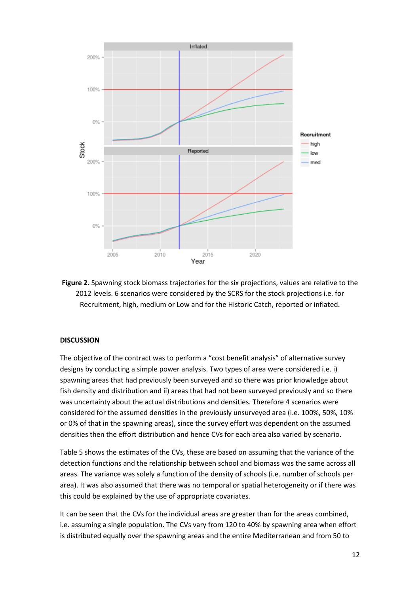

**Figure 2.** Spawning stock biomass trajectories for the six projections, values are relative to the 2012 levels. 6 scenarios were considered by the SCRS for the stock projections i.e. for Recruitment, high, medium or Low and for the Historic Catch, reported or inflated.

### **DISCUSSION**

The objective of the contract was to perform a "cost benefit analysis" of alternative survey designs by conducting a simple power analysis. Two types of area were considered i.e. i) spawning areas that had previously been surveyed and so there was prior knowledge about fish density and distribution and ii) areas that had not been surveyed previously and so there was uncertainty about the actual distributions and densities. Therefore 4 scenarios were considered for the assumed densities in the previously unsurveyed area (i.e. 100%, 50%, 10% or 0% of that in the spawning areas), since the survey effort was dependent on the assumed densities then the effort distribution and hence CVs for each area also varied by scenario.

Table 5 shows the estimates of the CVs, these are based on assuming that the variance of the detection functions and the relationship between school and biomass was the same across all areas. The variance was solely a function of the density of schools (i.e. number of schools per area). It was also assumed that there was no temporal or spatial heterogeneity or if there was this could be explained by the use of appropriate covariates.

It can be seen that the CVs for the individual areas are greater than for the areas combined, i.e. assuming a single population. The CVs vary from 120 to 40% by spawning area when effort is distributed equally over the spawning areas and the entire Mediterranean and from 50 to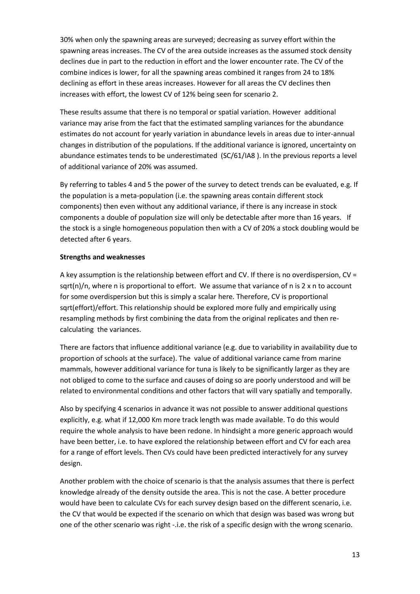30% when only the spawning areas are surveyed; decreasing as survey effort within the spawning areas increases. The CV of the area outside increases as the assumed stock density declines due in part to the reduction in effort and the lower encounter rate. The CV of the combine indices is lower, for all the spawning areas combined it ranges from 24 to 18% declining as effort in these areas increases. However for all areas the CV declines then increases with effort, the lowest CV of 12% being seen for scenario 2.

These results assume that there is no temporal or spatial variation. However additional variance may arise from the fact that the estimated sampling variances for the abundance estimates do not account for yearly variation in abundance levels in areas due to inter-annual changes in distribution of the populations. If the additional variance is ignored, uncertainty on abundance estimates tends to be underestimated (SC/61/IA8 ). In the previous reports a level of additional variance of 20% was assumed.

By referring to tables 4 and 5 the power of the survey to detect trends can be evaluated, e.g. If the population is a meta-population (i.e. the spawning areas contain different stock components) then even without any additional variance, if there is any increase in stock components a double of population size will only be detectable after more than 16 years. If the stock is a single homogeneous population then with a CV of 20% a stock doubling would be detected after 6 years.

## **Strengths and weaknesses**

A key assumption is the relationship between effort and CV. If there is no overdispersion, CV = sqrt(n)/n, where n is proportional to effort. We assume that variance of n is 2 x n to account for some overdispersion but this is simply a scalar here. Therefore, CV is proportional sqrt(effort)/effort. This relationship should be explored more fully and empirically using resampling methods by first combining the data from the original replicates and then recalculating the variances.

There are factors that influence additional variance (e.g. due to variability in availability due to proportion of schools at the surface). The value of additional variance came from marine mammals, however additional variance for tuna is likely to be significantly larger as they are not obliged to come to the surface and causes of doing so are poorly understood and will be related to environmental conditions and other factors that will vary spatially and temporally.

Also by specifying 4 scenarios in advance it was not possible to answer additional questions explicitly, e.g. what if 12,000 Km more track length was made available. To do this would require the whole analysis to have been redone. In hindsight a more generic approach would have been better, i.e. to have explored the relationship between effort and CV for each area for a range of effort levels. Then CVs could have been predicted interactively for any survey design.

Another problem with the choice of scenario is that the analysis assumes that there is perfect knowledge already of the density outside the area. This is not the case. A better procedure would have been to calculate CVs for each survey design based on the different scenario, i.e. the CV that would be expected if the scenario on which that design was based was wrong but one of the other scenario was right -.i.e. the risk of a specific design with the wrong scenario.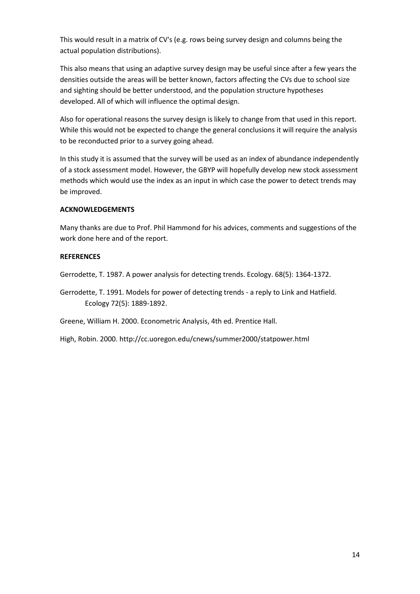This would result in a matrix of CV's (e.g. rows being survey design and columns being the actual population distributions).

This also means that using an adaptive survey design may be useful since after a few years the densities outside the areas will be better known, factors affecting the CVs due to school size and sighting should be better understood, and the population structure hypotheses developed. All of which will influence the optimal design.

Also for operational reasons the survey design is likely to change from that used in this report. While this would not be expected to change the general conclusions it will require the analysis to be reconducted prior to a survey going ahead.

In this study it is assumed that the survey will be used as an index of abundance independently of a stock assessment model. However, the GBYP will hopefully develop new stock assessment methods which would use the index as an input in which case the power to detect trends may be improved.

## **ACKNOWLEDGEMENTS**

Many thanks are due to Prof. Phil Hammond for his advices, comments and suggestions of the work done here and of the report.

## **REFERENCES**

Gerrodette, T. 1987. A power analysis for detecting trends. Ecology. 68(5): 1364-1372.

Gerrodette, T. 1991. Models for power of detecting trends - a reply to Link and Hatfield. Ecology 72(5): 1889-1892.

Greene, William H. 2000. Econometric Analysis, 4th ed. Prentice Hall.

High, Robin. 2000. http://cc.uoregon.edu/cnews/summer2000/statpower.html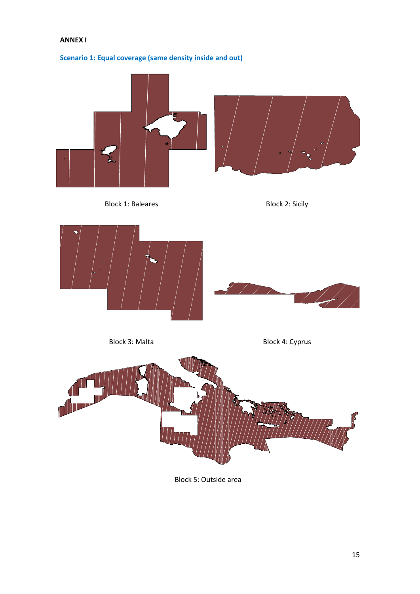## **ANNEX I**





Block 5: Outside area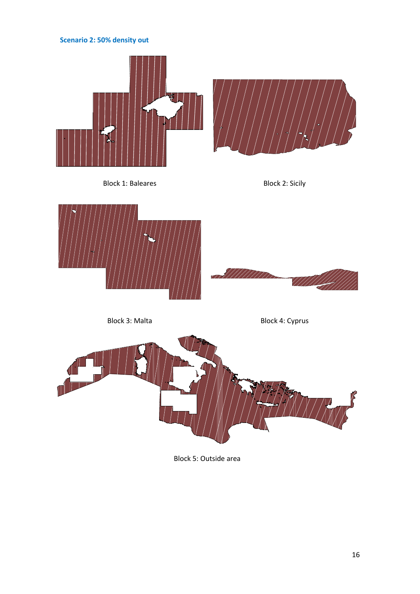# **Scenario 2: 50% density out**









Block 3: Malta Block 4: Cyprus



Block 5: Outside area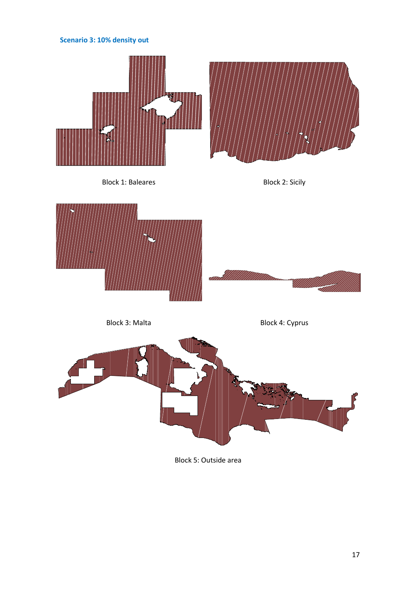# **Scenario 3: 10% density out**









Block 3: Malta Block 4: Cyprus



Block 5: Outside area